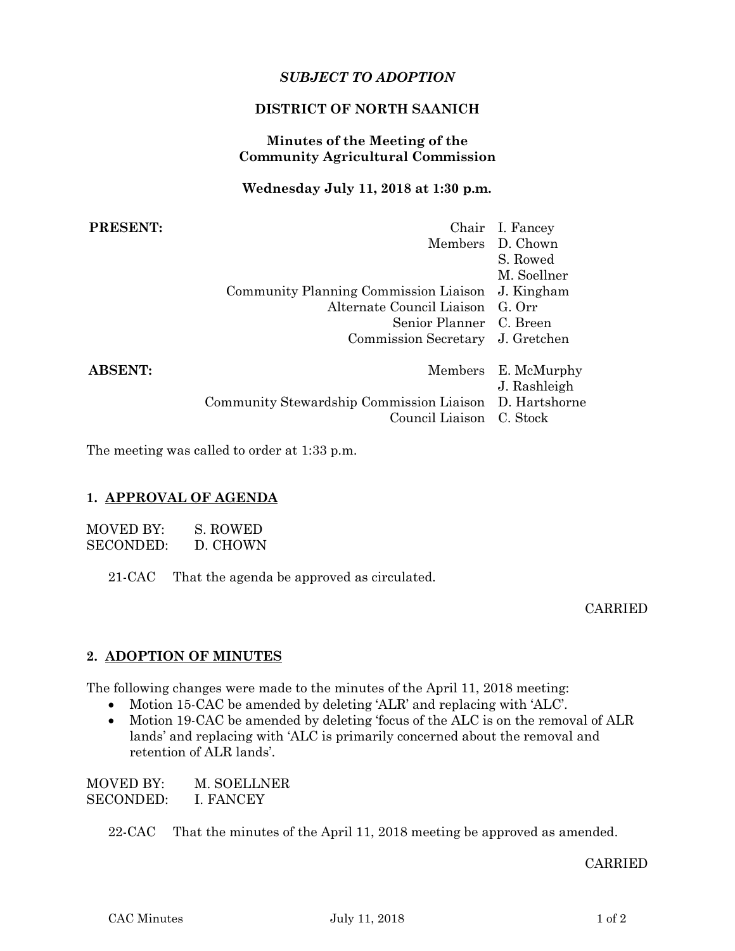# *SUBJECT TO ADOPTION*

## **DISTRICT OF NORTH SAANICH**

## **Minutes of the Meeting of the Community Agricultural Commission**

## **Wednesday July 11, 2018 at 1:30 p.m.**

| <b>PRESENT:</b> |                                                                                    | Chair I. Fancey<br>Members D. Chown<br>S. Rowed |
|-----------------|------------------------------------------------------------------------------------|-------------------------------------------------|
|                 |                                                                                    | M. Soellner                                     |
|                 | Community Planning Commission Liaison J. Kingham                                   |                                                 |
|                 | Alternate Council Liaison G. Orr                                                   |                                                 |
|                 | Senior Planner C. Breen                                                            |                                                 |
|                 | Commission Secretary J. Gretchen                                                   |                                                 |
| <b>ABSENT:</b>  |                                                                                    | Members E. McMurphy<br>J. Rashleigh             |
|                 | Community Stewardship Commission Liaison D. Hartshorne<br>Council Liaison C. Stock |                                                 |

The meeting was called to order at 1:33 p.m.

## **1. APPROVAL OF AGENDA**

| MOVED BY:        | S. ROWED |
|------------------|----------|
| <b>SECONDED:</b> | D. CHOWN |

21-CAC That the agenda be approved as circulated.

CARRIED

## **2. ADOPTION OF MINUTES**

The following changes were made to the minutes of the April 11, 2018 meeting:

- Motion 15-CAC be amended by deleting 'ALR' and replacing with 'ALC'.
- Motion 19-CAC be amended by deleting 'focus of the ALC is on the removal of ALR lands' and replacing with 'ALC is primarily concerned about the removal and retention of ALR lands'.

MOVED BY: M. SOELLNER SECONDED: I. FANCEY

22-CAC That the minutes of the April 11, 2018 meeting be approved as amended.

#### CARRIED